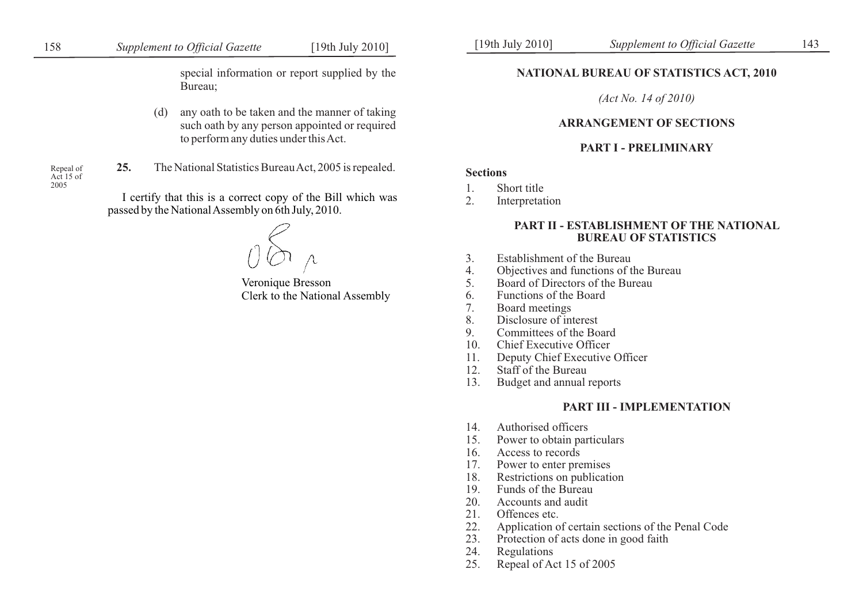special information or report supplied by the Bureau;

(d) any oath to be taken and the manner of taking such oath by any person appointed or required to perform any duties under this Act.

Repeal of<br>Act 15 of 2005

25. The National Statistics Bureau Act, 2005 is repealed.

I certify that this is a correct copy of the Bill which was passed by the National Assembly on 6th July, 2010.

Veronique Bresson Clerk to the National Assembly

## **NATIONAL BUREAU OF STATISTICS ACT, 2010**

*(Act No. 14 of 2010)*

### **ARRANGEMENT OF SECTIONS**

### **PART I - PRELIMINARY**

## **Sections**

- 1. Short title<br>2. Interpretat
- **Interpretation**

### **PART II - ESTABLISHMENT OF THE NATIONAL BUREAU OF STATISTICS**

- 3. Establishment of the Bureau
- 4. Objectives and functions of the Bureau<br>5. Board of Directors of the Bureau
- 5. Board of Directors of the Bureau
- 6. Functions of the Board<br>7. Board meetings
- 7. Board meetings
- 8. Disclosure of interest<br>9. Committees of the Bo
- 9. Committees of the Board
- 10. Chief Executive Officer
- 11. Deputy Chief Executive Officer
- 12. Staff of the Bureau
- 13. Budget and annual reports

### **PART III - IMPLEMENTATION**

- 14. Authorised officers
- 15. Power to obtain particulars
- 16. Access to records
- 17. Power to enter premises
- 18. Restrictions on publication
- 19. Funds of the Bureau
- 20. Accounts and audit
- 21. Offences etc.
- 22. Application of certain sections of the Penal Code
- 23. Protection of acts done in good faith
- 24. Regulations
- 25. Repeal of Act 15 of 2005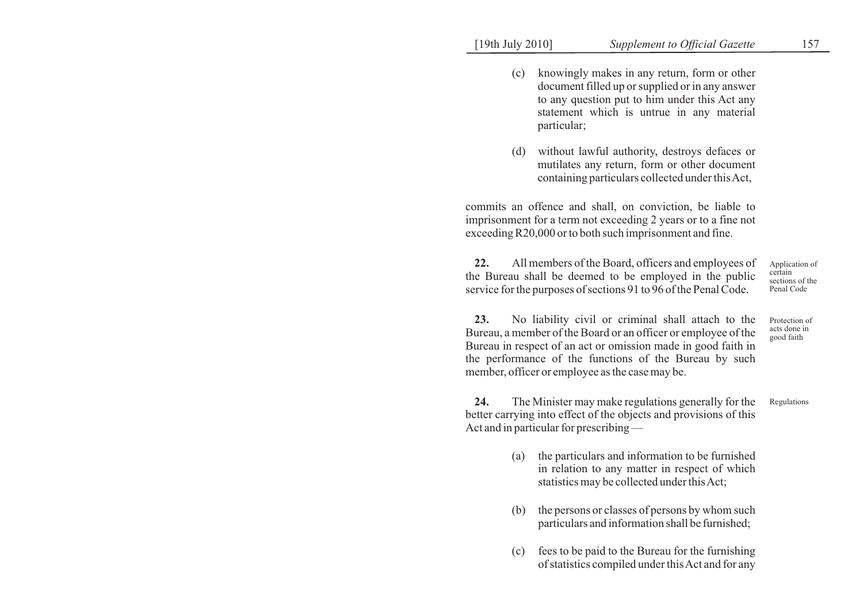- (c) knowingly makes in any return, form or other document filled up or supplied or in any answer to any question put to him under this Act any statement which is untrue in any material particular;
- (d) without lawful authority, destroys defaces or mutilates any return, form or other document containing particulars collected under this Act,

commits an offence and shall, on conviction, be liable to imprisonment for a term not exceeding 2 years or to a fine not exceeding R20,000 or to both such imprisonment and fine.

**22.** All members of the Board, officers and employees of the Bureau shall be deemed to be employed in the public service for the purposes of sections 91 to 96 of the Penal Code. certain

Application of sections of the Penal Code

**23.** No liability civil or criminal shall attach to the Bureau, a member of the Board or an officer or employee of the Bureau in respect of an act or omission made in good faith in the performance of the functions of the Bureau by such member, officer or employee as the case may be. Protection of acts done in good faith

**24.** The Minister may make regulations generally for the better carrying into effect of the objects and provisions of this Act and in particular for prescribing — Regulations

- (a) the particulars and information to be furnished in relation to any matter in respect of which statistics may be collected under this Act;
- (b) the persons or classes of persons by whom such particulars and information shall be furnished;
- (c) fees to be paid to the Bureau for the furnishing of statistics compiled under this Act and for any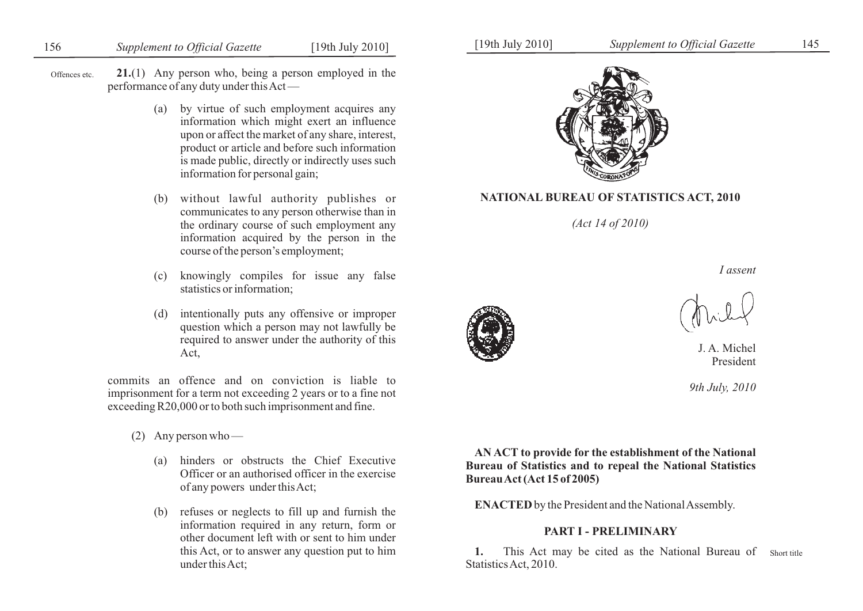# 156 *Supplement to Official Gazette* [19th July 2010] [19th July 2010] *Supplement to Official Gazette* 145

Offences etc. **21.**(1) Any person who, being a person employed in the performance of any duty under this Act —

- (a) by virtue of such employment acquires any information which might exert an influence upon or affect the market of any share, interest, product or article and before such information is made public, directly or indirectly uses such information for personal gain;
- (b) without lawful authority publishes or communicates to any person otherwise than in the ordinary course of such employment any information acquired by the person in the course of the person's employment;
- (c) knowingly compiles for issue any false statistics or information;
- (d) intentionally puts any offensive or improper question which a person may not lawfully be required to answer under the authority of this Act,

commits an offence and on conviction is liable to imprisonment for a term not exceeding 2 years or to a fine not exceeding R20,000 or to both such imprisonment and fine.

- (2) Any person who
	- (a) hinders or obstructs the Chief Executive Officer or an authorised officer in the exercise of any powers under this Act;
	- (b) refuses or neglects to fill up and furnish the information required in any return, form or other document left with or sent to him under this Act, or to answer any question put to him under this Act;



## **NATIONAL BUREAU OF STATISTICS ACT, 2010**

*(Act 14 of 2010)*

*I assent*

J. A. Michel President

*9th July, 2010*

**AN ACT to provide for the establishment of the National Bureau of Statistics and to repeal the National Statistics Bureau Act (Act 15 of 2005)**

**ENACTED** by the President and the National Assembly.

## **PART I - PRELIMINARY**

1. This Act may be cited as the National Bureau of Short title Statistics Act, 2010.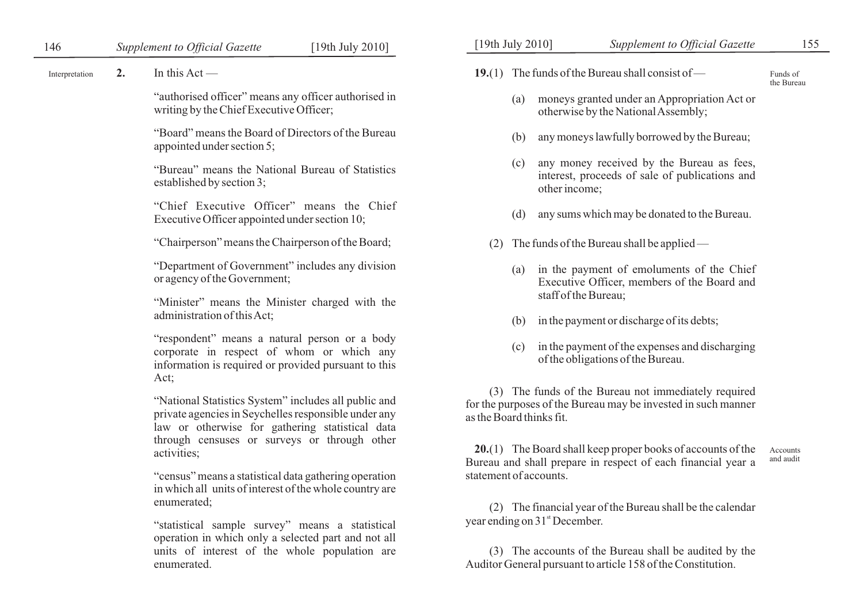2. In this  $Act$  —

"authorised officer" means any officer authorised in writing by the Chief Executive Officer;

"Board" means the Board of Directors of the Bureau appointed under section 5;

"Bureau" means the National Bureau of Statistics established by section 3;

"Chief Executive Officer" means the Chief Executive Officer appointed under section 10;

"Chairperson" means the Chairperson of the Board;

"Department of Government" includes any division or agency of the Government;

"Minister" means the Minister charged with the administration of this Act;

"respondent" means a natural person or a body corporate in respect of whom or which any information is required or provided pursuant to this Act;

"National Statistics System" includes all public and private agencies in Seychelles responsible under any law or otherwise for gathering statistical data through censuses or surveys or through other activities;

"census" means a statistical data gathering operation in which all units of interest of the whole country are enumerated;

"statistical sample survey" means a statistical operation in which only a selected part and not all units of interest of the whole population are enumerated.

Interpretation 2. In this Act —  $19.(1)$  The funds of the Bureau shall consist of — Funds of

the Bureau

- (a) moneys granted under an Appropriation Act or otherwise by the National Assembly;
- (b) any moneys lawfully borrowed by the Bureau;
- (c) any money received by the Bureau as fees, interest, proceeds of sale of publications and other income;
- (d) any sums which may be donated to the Bureau.
- (2) The funds of the Bureau shall be applied
	- (a) in the payment of emoluments of the Chief Executive Officer, members of the Board and staff of the Bureau;
	- (b) in the payment or discharge of its debts;
	- (c) in the payment of the expenses and discharging of the obligations of the Bureau.

(3) The funds of the Bureau not immediately required for the purposes of the Bureau may be invested in such manner as the Board thinks fit.

**20.**(1) The Board shall keep proper books of accounts of the Bureau and shall prepare in respect of each financial year a statement of accounts. Accounts and audit

(2) The financial year of the Bureau shall be the calendar year ending on 31<sup>st</sup> December.

(3) The accounts of the Bureau shall be audited by the Auditor General pursuant to article 158 of the Constitution.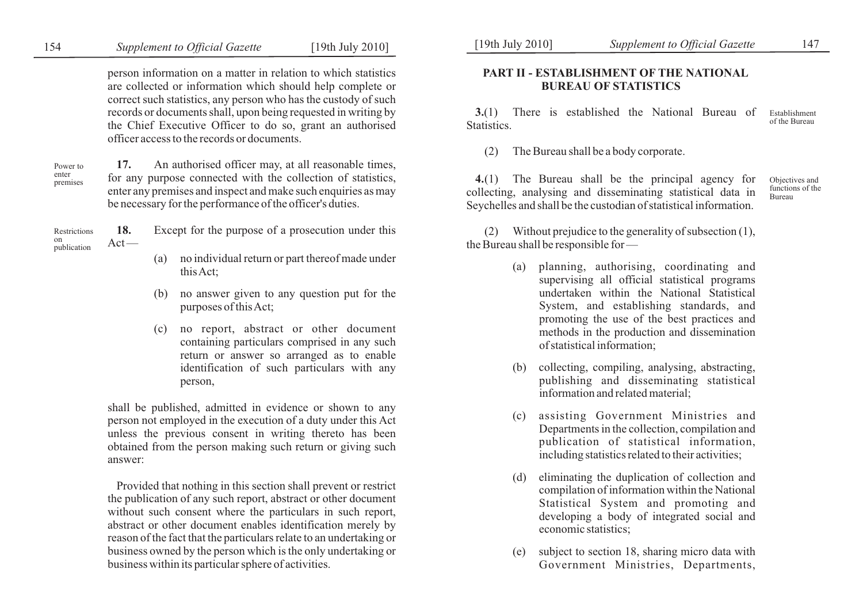person information on a matter in relation to which statistics are collected or information which should help complete or correct such statistics, any person who has the custody of such records or documents shall, upon being requested in writing by the Chief Executive Officer to do so, grant an authorised officer access to the records or documents.

Power to enter premises

**17.** An authorised officer may, at all reasonable times, for any purpose connected with the collection of statistics, enter any premises and inspect and make such enquiries as may be necessary for the performance of the officer's duties.

|                                          | Restrictions 18. Except for the purpose of a prosecution under this |  |
|------------------------------------------|---------------------------------------------------------------------|--|
| $\lim_{\text{publication}} \text{Act}$ — |                                                                     |  |

- (a) no individual return or part thereof made under this Act;
- (b) no answer given to any question put for the purposes of this Act;
- (c) no report, abstract or other document containing particulars comprised in any such return or answer so arranged as to enable identification of such particulars with any person,

shall be published, admitted in evidence or shown to any person not employed in the execution of a duty under this Act unless the previous consent in writing thereto has been obtained from the person making such return or giving such answer:

Provided that nothing in this section shall prevent or restrict the publication of any such report, abstract or other document without such consent where the particulars in such report. abstract or other document enables identification merely by reason of the fact that the particulars relate to an undertaking or business owned by the person which is the only undertaking or business within its particular sphere of activities.

## **PART II - ESTABLISHMENT OF THE NATIONAL BUREAU OF STATISTICS**

**3.**(1) There is established the National Bureau of Statistics. Establishment of the Bureau

(2) The Bureau shall be a body corporate.

**4.**(1) The Bureau shall be the principal agency for collecting, analysing and disseminating statistical data in Seychelles and shall be the custodian of statistical information. Objectives and functions of the Bureau

Without prejudice to the generality of subsection  $(1)$ , the Bureau shall be responsible for —

- (a) planning, authorising, coordinating and supervising all official statistical programs undertaken within the National Statistical System, and establishing standards, and promoting the use of the best practices and methods in the production and dissemination of statistical information;
- (b) collecting, compiling, analysing, abstracting, publishing and disseminating statistical information and related material;
- (c) assisting Government Ministries and Departments in the collection, compilation and publication of statistical information, including statistics related to their activities;
- (d) eliminating the duplication of collection and compilation of information within the National Statistical System and promoting and developing a body of integrated social and economic statistics;
- (e) subject to section 18, sharing micro data with Government Ministries, Departments,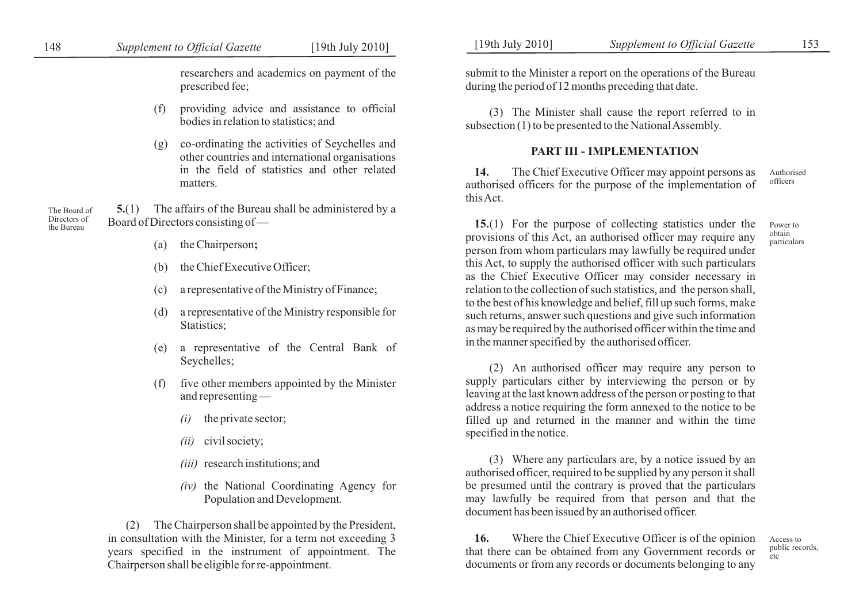researchers and academics on payment of the prescribed fee;

- (f) providing advice and assistance to official bodies in relation to statistics; and
- (g) co-ordinating the activities of Seychelles and other countries and international organisations in the field of statistics and other related matters.

**5.**(1) The affairs of the Bureau shall be administered by a Board of Directors consisting of — The Board of Directors of the Bureau

- (a) the Chairperson**;**
- (b) the Chief Executive Officer;
- (c) a representative of the Ministry of Finance;
- (d) a representative of the Ministry responsible for Statistics;
- (e) a representative of the Central Bank of Seychelles;
- (f) five other members appointed by the Minister and representing —
	- *(i)* the private sector;
	- *(ii)* civil society;
	- *(iii)* research institutions; and
	- *(iv)* the National Coordinating Agency for Population and Development.

(2) The Chairperson shall be appointed by the President, in consultation with the Minister, for a term not exceeding 3 years specified in the instrument of appointment. The Chairperson shall be eligible for re-appointment.

submit to the Minister a report on the operations of the Bureau during the period of 12 months preceding that date.

(3) The Minister shall cause the report referred to in subsection (1) to be presented to the National Assembly.

### **PART III - IMPLEMENTATION**

**14.** The Chief Executive Officer may appoint persons as authorised officers for the purpose of the implementation of this Act. Authorised officers

**15.**(1) For the purpose of collecting statistics under the provisions of this Act, an authorised officer may require any person from whom particulars may lawfully be required under this Act, to supply the authorised officer with such particulars as the Chief Executive Officer may consider necessary in relation to the collection of such statistics, and the person shall, to the best of his knowledge and belief, fill up such forms, make such returns, answer such questions and give such information as may be required by the authorised officer within the time and in the manner specified by the authorised officer. Power to obtain particulars

(2) An authorised officer may require any person to supply particulars either by interviewing the person or by leaving at the last known address of the person or posting to that address a notice requiring the form annexed to the notice to be filled up and returned in the manner and within the time specified in the notice.

(3) Where any particulars are, by a notice issued by an authorised officer, required to be supplied by any person it shall be presumed until the contrary is proved that the particulars may lawfully be required from that person and that the document has been issued by an authorised officer.

**16.** Where the Chief Executive Officer is of the opinion that there can be obtained from any Government records or documents or from any records or documents belonging to any

Access to public records, etc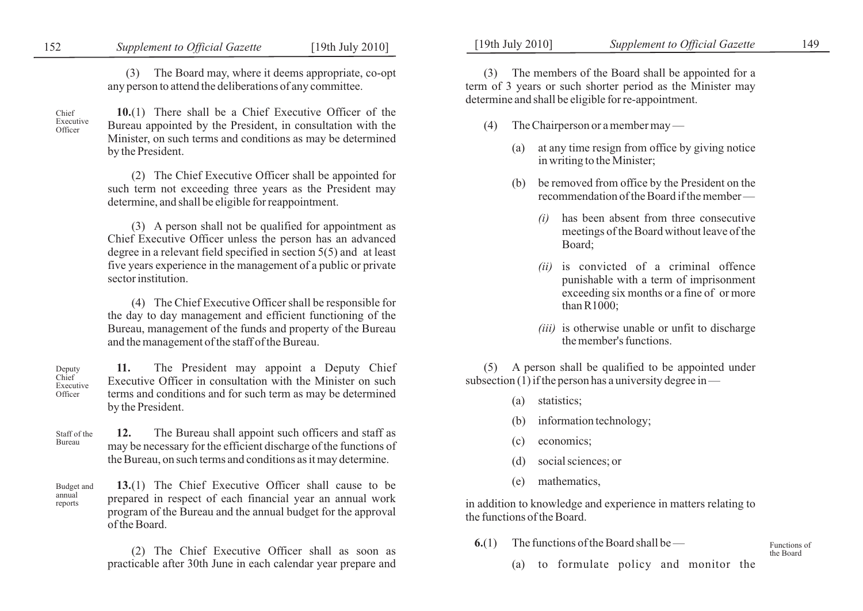## 152 *Supplement to Official Gazette* [19th July 2010] [19th July 2010] *Supplement to Official Gazette* 149

(3) The Board may, where it deems appropriate, co-opt any person to attend the deliberations of any committee.

Chief Executive **Officer** 

> annual reports

**10.**(1) There shall be a Chief Executive Officer of the Bureau appointed by the President, in consultation with the Minister, on such terms and conditions as may be determined by the President.

(2) The Chief Executive Officer shall be appointed for such term not exceeding three years as the President may determine, and shall be eligible for reappointment.

(3) A person shall not be qualified for appointment as Chief Executive Officer unless the person has an advanced degree in a relevant field specified in section 5(5) and at least five years experience in the management of a public or private sector institution.

(4) The Chief Executive Officer shall be responsible for the day to day management and efficient functioning of the Bureau, management of the funds and property of the Bureau and the management of the staff of the Bureau.

**11.** The President may appoint a Deputy Chief Executive Officer in consultation with the Minister on such terms and conditions and for such term as may be determined by the President. Deputy Chief Executive **Officer** 

**12.** The Bureau shall appoint such officers and staff as may be necessary for the efficient discharge of the functions of the Bureau, on such terms and conditions as it may determine. Staff of the Bureau

**13.**(1) The Chief Executive Officer shall cause to be prepared in respect of each financial year an annual work program of the Bureau and the annual budget for the approval of the Board. Budget and

> (2) The Chief Executive Officer shall as soon as practicable after 30th June in each calendar year prepare and

(3) The members of the Board shall be appointed for a term of 3 years or such shorter period as the Minister may determine and shall be eligible for re-appointment.

- (4) The Chairperson or a member may
	- (a) at any time resign from office by giving notice in writing to the Minister;
	- (b) be removed from office by the President on the recommendation of the Board if the member —
		- *(i)* has been absent from three consecutive meetings of the Board without leave of the Board;
		- *(ii)* is convicted of a criminal offence punishable with a term of imprisonment exceeding six months or a fine of or more than R1000;
		- *(iii)* is otherwise unable or unfit to discharge the member's functions.

(5) A person shall be qualified to be appointed under subsection  $(1)$  if the person has a university degree in —

- (a) statistics;
- (b) information technology;
- (c) economics;
- (d) social sciences; or
- (e) mathematics,

in addition to knowledge and experience in matters relating to the functions of the Board.

**6.**(1) The functions of the Board shall be —

(a) to formulate policy and monitor the